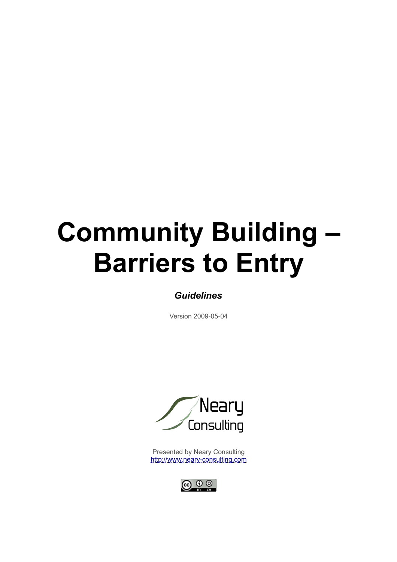# **Community Building – Barriers to Entry**

# *Guidelines*

Version 2009-05-04



Presented by Neary Consulting [http://www.neary-consulting.com](http://www.neary-consulting.com/)

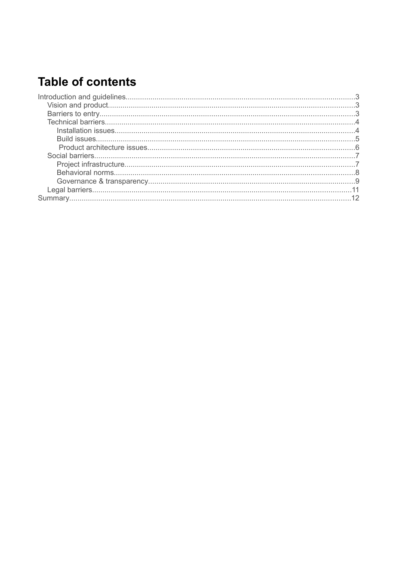# **Table of contents**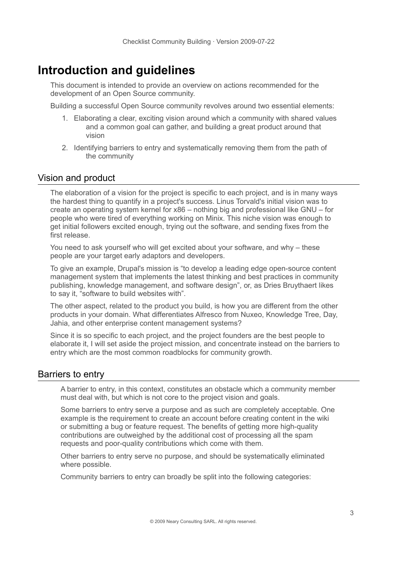# **Introduction and guidelines**

This document is intended to provide an overview on actions recommended for the development of an Open Source community.

Building a successful Open Source community revolves around two essential elements:

- 1. Elaborating a clear, exciting vision around which a community with shared values and a common goal can gather, and building a great product around that vision
- 2. Identifying barriers to entry and systematically removing them from the path of the community

# Vision and product

The elaboration of a vision for the project is specific to each project, and is in many ways the hardest thing to quantify in a project's success. Linus Torvald's initial vision was to create an operating system kernel for x86 – nothing big and professional like GNU – for people who were tired of everything working on Minix. This niche vision was enough to get initial followers excited enough, trying out the software, and sending fixes from the first release.

You need to ask yourself who will get excited about your software, and why – these people are your target early adaptors and developers.

To give an example, Drupal's mission is "to develop a leading edge open-source content management system that implements the latest thinking and best practices in community publishing, knowledge management, and software design", or, as Dries Bruythaert likes to say it, "software to build websites with".

The other aspect, related to the product you build, is how you are different from the other products in your domain. What differentiates Alfresco from Nuxeo, Knowledge Tree, Day, Jahia, and other enterprise content management systems?

Since it is so specific to each project, and the project founders are the best people to elaborate it, I will set aside the project mission, and concentrate instead on the barriers to entry which are the most common roadblocks for community growth.

# Barriers to entry

A barrier to entry, in this context, constitutes an obstacle which a community member must deal with, but which is not core to the project vision and goals.

Some barriers to entry serve a purpose and as such are completely acceptable. One example is the requirement to create an account before creating content in the wiki or submitting a bug or feature request. The benefits of getting more high-quality contributions are outweighed by the additional cost of processing all the spam requests and poor-quality contributions which come with them.

Other barriers to entry serve no purpose, and should be systematically eliminated where possible.

Community barriers to entry can broadly be split into the following categories: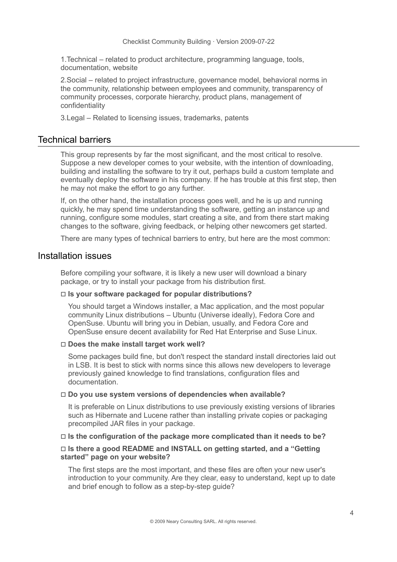1.Technical – related to product architecture, programming language, tools, documentation, website

2.Social – related to project infrastructure, governance model, behavioral norms in the community, relationship between employees and community, transparency of community processes, corporate hierarchy, product plans, management of confidentiality

3.Legal – Related to licensing issues, trademarks, patents

# Technical barriers

This group represents by far the most significant, and the most critical to resolve. Suppose a new developer comes to your website, with the intention of downloading, building and installing the software to try it out, perhaps build a custom template and eventually deploy the software in his company. If he has trouble at this first step, then he may not make the effort to go any further.

If, on the other hand, the installation process goes well, and he is up and running quickly, he may spend time understanding the software, getting an instance up and running, configure some modules, start creating a site, and from there start making changes to the software, giving feedback, or helping other newcomers get started.

There are many types of technical barriers to entry, but here are the most common:

# Installation issues

Before compiling your software, it is likely a new user will download a binary package, or try to install your package from his distribution first.

# □ **Is your software packaged for popular distributions?**

You should target a Windows installer, a Mac application, and the most popular community Linux distributions – Ubuntu (Universe ideally), Fedora Core and OpenSuse. Ubuntu will bring you in Debian, usually, and Fedora Core and OpenSuse ensure decent availability for Red Hat Enterprise and Suse Linux.

#### □ **Does the make install target work well?**

Some packages build fine, but don't respect the standard install directories laid out in LSB. It is best to stick with norms since this allows new developers to leverage previously gained knowledge to find translations, configuration files and documentation.

#### □ **Do you use system versions of dependencies when available?**

It is preferable on Linux distributions to use previously existing versions of libraries such as Hibernate and Lucene rather than installing private copies or packaging precompiled JAR files in your package.

#### □ **Is the configuration of the package more complicated than it needs to be?**

# □ **Is there a good README and INSTALL on getting started, and a "Getting started" page on your website?**

The first steps are the most important, and these files are often your new user's introduction to your community. Are they clear, easy to understand, kept up to date and brief enough to follow as a step-by-step guide?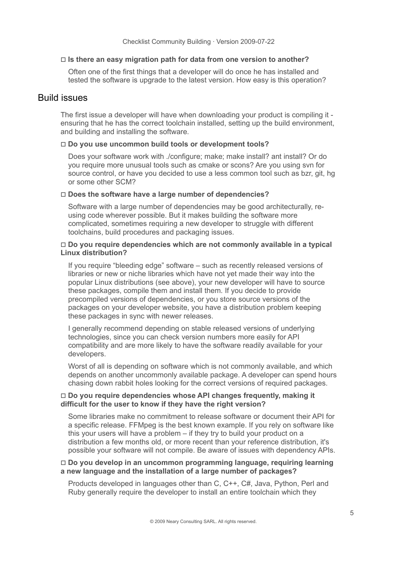#### □ **Is there an easy migration path for data from one version to another?**

Often one of the first things that a developer will do once he has installed and tested the software is upgrade to the latest version. How easy is this operation?

# Build issues

The first issue a developer will have when downloading your product is compiling it ensuring that he has the correct toolchain installed, setting up the build environment, and building and installing the software.

#### □ **Do you use uncommon build tools or development tools?**

Does your software work with ./configure; make; make install? ant install? Or do you require more unusual tools such as cmake or scons? Are you using svn for source control, or have you decided to use a less common tool such as bzr, git, hg or some other SCM?

## □ **Does the software have a large number of dependencies?**

Software with a large number of dependencies may be good architecturally, reusing code wherever possible. But it makes building the software more complicated, sometimes requiring a new developer to struggle with different toolchains, build procedures and packaging issues.

#### □ **Do you require dependencies which are not commonly available in a typical Linux distribution?**

If you require "bleeding edge" software – such as recently released versions of libraries or new or niche libraries which have not yet made their way into the popular Linux distributions (see above), your new developer will have to source these packages, compile them and install them. If you decide to provide precompiled versions of dependencies, or you store source versions of the packages on your developer website, you have a distribution problem keeping these packages in sync with newer releases.

I generally recommend depending on stable released versions of underlying technologies, since you can check version numbers more easily for API compatibility and are more likely to have the software readily available for your developers.

Worst of all is depending on software which is not commonly available, and which depends on another uncommonly available package. A developer can spend hours chasing down rabbit holes looking for the correct versions of required packages.

#### □ **Do you require dependencies whose API changes frequently, making it difficult for the user to know if they have the right version?**

Some libraries make no commitment to release software or document their API for a specific release. FFMpeg is the best known example. If you rely on software like this your users will have a problem – if they try to build your product on a distribution a few months old, or more recent than your reference distribution, it's possible your software will not compile. Be aware of issues with dependency APIs.

#### □ **Do you develop in an uncommon programming language, requiring learning a new language and the installation of a large number of packages?**

Products developed in languages other than C, C++, C#, Java, Python, Perl and Ruby generally require the developer to install an entire toolchain which they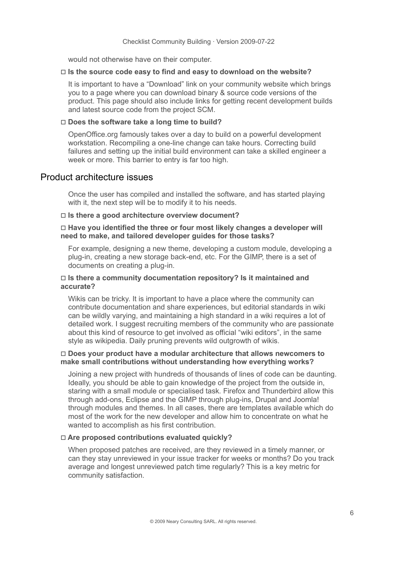would not otherwise have on their computer.

#### □ **Is the source code easy to find and easy to download on the website?**

It is important to have a "Download" link on your community website which brings you to a page where you can download binary & source code versions of the product. This page should also include links for getting recent development builds and latest source code from the project SCM.

#### □ **Does the software take a long time to build?**

OpenOffice.org famously takes over a day to build on a powerful development workstation. Recompiling a one-line change can take hours. Correcting build failures and setting up the initial build environment can take a skilled engineer a week or more. This barrier to entry is far too high.

# Product architecture issues

Once the user has compiled and installed the software, and has started playing with it, the next step will be to modify it to his needs.

#### □ **Is there a good architecture overview document?**

#### □ **Have you identified the three or four most likely changes a developer will need to make, and tailored developer guides for those tasks?**

For example, designing a new theme, developing a custom module, developing a plug-in, creating a new storage back-end, etc. For the GIMP, there is a set of documents on creating a plug-in.

#### □ **Is there a community documentation repository? Is it maintained and accurate?**

Wikis can be tricky. It is important to have a place where the community can contribute documentation and share experiences, but editorial standards in wiki can be wildly varying, and maintaining a high standard in a wiki requires a lot of detailed work. I suggest recruiting members of the community who are passionate about this kind of resource to get involved as official "wiki editors", in the same style as wikipedia. Daily pruning prevents wild outgrowth of wikis.

#### □ **Does your product have a modular architecture that allows newcomers to make small contributions without understanding how everything works?**

Joining a new project with hundreds of thousands of lines of code can be daunting. Ideally, you should be able to gain knowledge of the project from the outside in, staring with a small module or specialised task. Firefox and Thunderbird allow this through add-ons, Eclipse and the GIMP through plug-ins, Drupal and Joomla! through modules and themes. In all cases, there are templates available which do most of the work for the new developer and allow him to concentrate on what he wanted to accomplish as his first contribution.

#### □ **Are proposed contributions evaluated quickly?**

When proposed patches are received, are they reviewed in a timely manner, or can they stay unreviewed in your issue tracker for weeks or months? Do you track average and longest unreviewed patch time regularly? This is a key metric for community satisfaction.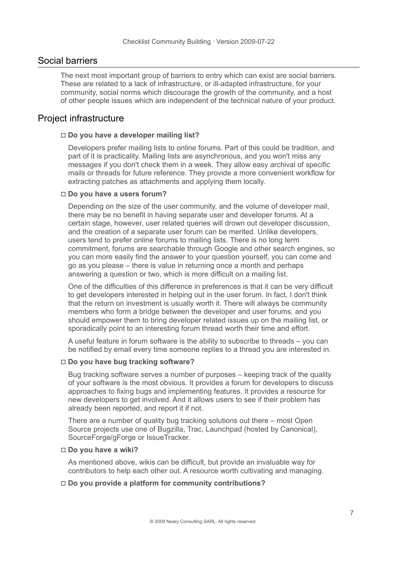# Social barriers

The next most important group of barriers to entry which can exist are social barriers. These are related to a lack of infrastructure, or ill-adapted infrastructure, for your community, social norms which discourage the growth of the community, and a host of other people issues which are independent of the technical nature of your product.

# Project infrastructure

#### □ **Do you have a developer mailing list?**

Developers prefer mailing lists to online forums. Part of this could be tradition, and part of it is practicality. Mailing lists are asynchronous, and you won't miss any messages if you don't check them in a week. They allow easy archival of specific mails or threads for future reference. They provide a more convenient workflow for extracting patches as attachments and applying them locally.

#### □ **Do you have a users forum?**

Depending on the size of the user community, and the volume of developer mail, there may be no benefit in having separate user and developer forums. At a certain stage, however, user related queries will drown out developer discussion, and the creation of a separate user forum can be merited. Unlike developers, users tend to prefer online forums to mailing lists. There is no long term commitment, forums are searchable through Google and other search engines, so you can more easily find the answer to your question yourself, you can come and go as you please – there is value in returning once a month and perhaps answering a question or two, which is more difficult on a mailing list.

One of the difficulties of this difference in preferences is that it can be very difficult to get developers interested in helping out in the user forum. In fact, I don't think that the return on investment is usually worth it. There will always be community members who form a bridge between the developer and user forums, and you should empower them to bring developer related issues up on the mailing list, or sporadically point to an interesting forum thread worth their time and effort.

A useful feature in forum software is the ability to subscribe to threads – you can be notified by email every time someone replies to a thread you are interested in.

#### □ **Do you have bug tracking software?**

Bug tracking software serves a number of purposes – keeping track of the quality of your software is the most obvious. It provides a forum for developers to discuss approaches to fixing bugs and implementing features. It provides a resource for new developers to get involved. And it allows users to see if their problem has already been reported, and report it if not.

There are a number of quality bug tracking solutions out there – most Open Source projects use one of Bugzilla, Trac, Launchpad (hosted by Canonical), SourceForge/gForge or IssueTracker.

#### □ **Do you have a wiki?**

As mentioned above, wikis can be difficult, but provide an invaluable way for contributors to help each other out. A resource worth cultivating and managing.

#### □ **Do you provide a platform for community contributions?**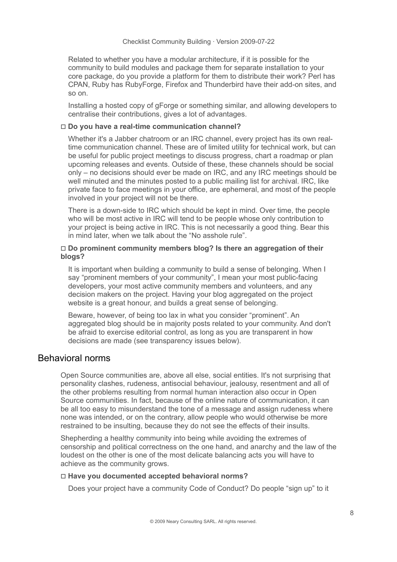Related to whether you have a modular architecture, if it is possible for the community to build modules and package them for separate installation to your core package, do you provide a platform for them to distribute their work? Perl has CPAN, Ruby has RubyForge, Firefox and Thunderbird have their add-on sites, and so on.

Installing a hosted copy of gForge or something similar, and allowing developers to centralise their contributions, gives a lot of advantages.

#### □ **Do you have a real-time communication channel?**

Whether it's a Jabber chatroom or an IRC channel, every project has its own realtime communication channel. These are of limited utility for technical work, but can be useful for public project meetings to discuss progress, chart a roadmap or plan upcoming releases and events. Outside of these, these channels should be social only – no decisions should ever be made on IRC, and any IRC meetings should be well minuted and the minutes posted to a public mailing list for archival. IRC, like private face to face meetings in your office, are ephemeral, and most of the people involved in your project will not be there.

There is a down-side to IRC which should be kept in mind. Over time, the people who will be most active in IRC will tend to be people whose only contribution to your project is being active in IRC. This is not necessarily a good thing. Bear this in mind later, when we talk about the "No asshole rule".

#### □ **Do prominent community members blog? Is there an aggregation of their blogs?**

It is important when building a community to build a sense of belonging. When I say "prominent members of your community", I mean your most public-facing developers, your most active community members and volunteers, and any decision makers on the project. Having your blog aggregated on the project website is a great honour, and builds a great sense of belonging.

Beware, however, of being too lax in what you consider "prominent". An aggregated blog should be in majority posts related to your community. And don't be afraid to exercise editorial control, as long as you are transparent in how decisions are made (see transparency issues below).

# Behavioral norms

Open Source communities are, above all else, social entities. It's not surprising that personality clashes, rudeness, antisocial behaviour, jealousy, resentment and all of the other problems resulting from normal human interaction also occur in Open Source communities. In fact, because of the online nature of communication, it can be all too easy to misunderstand the tone of a message and assign rudeness where none was intended, or on the contrary, allow people who would otherwise be more restrained to be insulting, because they do not see the effects of their insults.

Shepherding a healthy community into being while avoiding the extremes of censorship and political correctness on the one hand, and anarchy and the law of the loudest on the other is one of the most delicate balancing acts you will have to achieve as the community grows.

#### □ **Have you documented accepted behavioral norms?**

Does your project have a community Code of Conduct? Do people "sign up" to it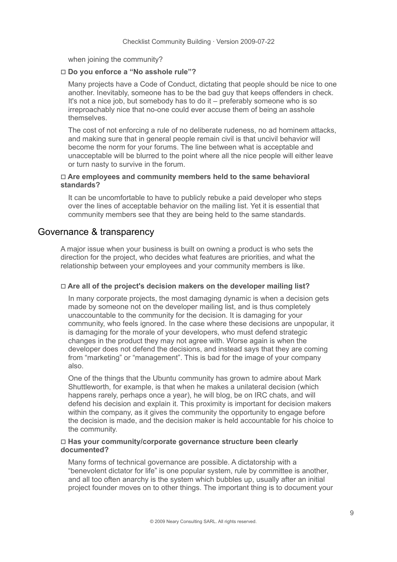when joining the community?

#### □ **Do you enforce a "No asshole rule"?**

Many projects have a Code of Conduct, dictating that people should be nice to one another. Inevitably, someone has to be the bad guy that keeps offenders in check. It's not a nice job, but somebody has to do it – preferably someone who is so irreproachably nice that no-one could ever accuse them of being an asshole themselves.

The cost of not enforcing a rule of no deliberate rudeness, no ad hominem attacks, and making sure that in general people remain civil is that uncivil behavior will become the norm for your forums. The line between what is acceptable and unacceptable will be blurred to the point where all the nice people will either leave or turn nasty to survive in the forum.

### □ **Are employees and community members held to the same behavioral standards?**

It can be uncomfortable to have to publicly rebuke a paid developer who steps over the lines of acceptable behavior on the mailing list. Yet it is essential that community members see that they are being held to the same standards.

# Governance & transparency

A major issue when your business is built on owning a product is who sets the direction for the project, who decides what features are priorities, and what the relationship between your employees and your community members is like.

# □ **Are all of the project's decision makers on the developer mailing list?**

In many corporate projects, the most damaging dynamic is when a decision gets made by someone not on the developer mailing list, and is thus completely unaccountable to the community for the decision. It is damaging for your community, who feels ignored. In the case where these decisions are unpopular, it is damaging for the morale of your developers, who must defend strategic changes in the product they may not agree with. Worse again is when the developer does not defend the decisions, and instead says that they are coming from "marketing" or "management". This is bad for the image of your company also.

One of the things that the Ubuntu community has grown to admire about Mark Shuttleworth, for example, is that when he makes a unilateral decision (which happens rarely, perhaps once a year), he will blog, be on IRC chats, and will defend his decision and explain it. This proximity is important for decision makers within the company, as it gives the community the opportunity to engage before the decision is made, and the decision maker is held accountable for his choice to the community.

### □ **Has your community/corporate governance structure been clearly documented?**

Many forms of technical governance are possible. A dictatorship with a "benevolent dictator for life" is one popular system, rule by committee is another, and all too often anarchy is the system which bubbles up, usually after an initial project founder moves on to other things. The important thing is to document your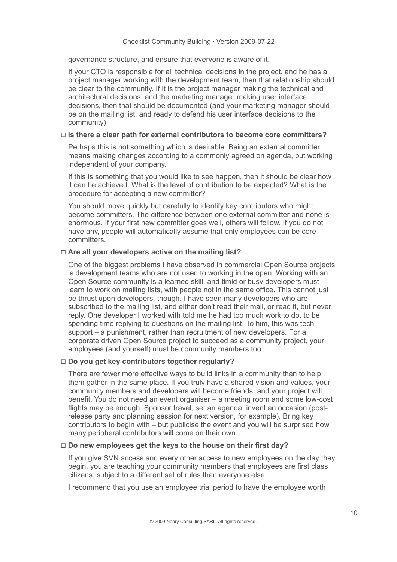governance structure, and ensure that everyone is aware of it.

If your CTO is responsible for all technical decisions in the project, and he has a project manager working with the development team, then that relationship should be clear to the community. If it is the project manager making the technical and architectural decisions, and the marketing manager making user interface decisions, then that should be documented (and your marketing manager should be on the mailing list, and ready to defend his user interface decisions to the community).

### □ **Is there a clear path for external contributors to become core committers?**

Perhaps this is not something which is desirable. Being an external committer means making changes according to a commonly agreed on agenda, but working independent of your company.

If this is something that you would like to see happen, then it should be clear how it can be achieved. What is the level of contribution to be expected? What is the procedure for accepting a new committer?

You should move quickly but carefully to identify key contributors who might become committers. The difference between one external committer and none is enormous. If your first new committer goes well, others will follow. If you do not have any, people will automatically assume that only employees can be core committers.

# □ **Are all your developers active on the mailing list?**

One of the biggest problems I have observed in commercial Open Source projects is development teams who are not used to working in the open. Working with an Open Source community is a learned skill, and timid or busy developers must learn to work on mailing lists, with people not in the same office. This cannot just be thrust upon developers, though. I have seen many developers who are subscribed to the mailing list, and either don't read their mail, or read it, but never reply. One developer I worked with told me he had too much work to do, to be spending time replying to questions on the mailing list. To him, this was tech support – a punishment, rather than recruitment of new developers. For a corporate driven Open Source project to succeed as a community project, your employees (and yourself) must be community members too.

# □ **Do you get key contributors together regularly?**

There are fewer more effective ways to build links in a community than to help them gather in the same place. If you truly have a shared vision and values, your community members and developers will become friends, and your project will benefit. You do not need an event organiser – a meeting room and some low-cost flights may be enough. Sponsor travel, set an agenda, invent an occasion (postrelease party and planning session for next version, for example). Bring key contributors to begin with – but publicise the event and you will be surprised how many peripheral contributors will come on their own.

# □ **Do new employees get the keys to the house on their first day?**

If you give SVN access and every other access to new employees on the day they begin, you are teaching your community members that employees are first class citizens, subject to a different set of rules than everyone else.

I recommend that you use an employee trial period to have the employee worth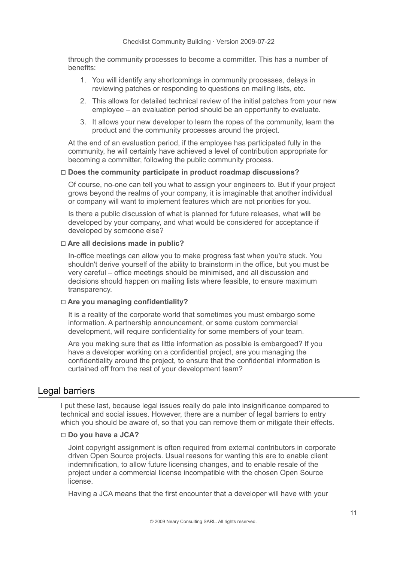through the community processes to become a committer. This has a number of benefits:

- 1. You will identify any shortcomings in community processes, delays in reviewing patches or responding to questions on mailing lists, etc.
- 2. This allows for detailed technical review of the initial patches from your new employee – an evaluation period should be an opportunity to evaluate.
- 3. It allows your new developer to learn the ropes of the community, learn the product and the community processes around the project.

At the end of an evaluation period, if the employee has participated fully in the community, he will certainly have achieved a level of contribution appropriate for becoming a committer, following the public community process.

#### □ **Does the community participate in product roadmap discussions?**

Of course, no-one can tell you what to assign your engineers to. But if your project grows beyond the realms of your company, it is imaginable that another individual or company will want to implement features which are not priorities for you.

Is there a public discussion of what is planned for future releases, what will be developed by your company, and what would be considered for acceptance if developed by someone else?

#### □ **Are all decisions made in public?**

In-office meetings can allow you to make progress fast when you're stuck. You shouldn't derive yourself of the ability to brainstorm in the office, but you must be very careful – office meetings should be minimised, and all discussion and decisions should happen on mailing lists where feasible, to ensure maximum transparency.

#### □ **Are you managing confidentiality?**

It is a reality of the corporate world that sometimes you must embargo some information. A partnership announcement, or some custom commercial development, will require confidentiality for some members of your team.

Are you making sure that as little information as possible is embargoed? If you have a developer working on a confidential project, are you managing the confidentiality around the project, to ensure that the confidential information is curtained off from the rest of your development team?

# Legal barriers

I put these last, because legal issues really do pale into insignificance compared to technical and social issues. However, there are a number of legal barriers to entry which you should be aware of, so that you can remove them or mitigate their effects.

# □ **Do you have a JCA?**

Joint copyright assignment is often required from external contributors in corporate driven Open Source projects. Usual reasons for wanting this are to enable client indemnification, to allow future licensing changes, and to enable resale of the project under a commercial license incompatible with the chosen Open Source license.

Having a JCA means that the first encounter that a developer will have with your